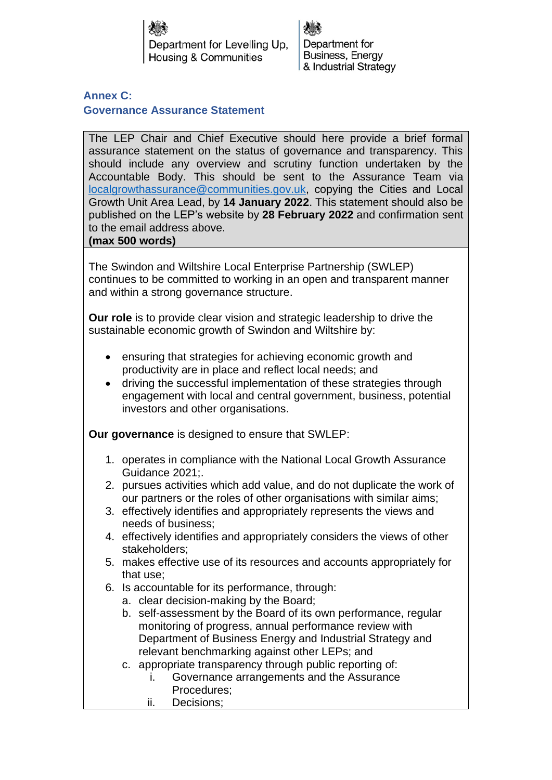Department for Levelling Up. Housing & Communities

Department for Business, Energy & Industrial Strategy

## **Annex C: Governance Assurance Statement**

The LEP Chair and Chief Executive should here provide a brief formal assurance statement on the status of governance and transparency. This should include any overview and scrutiny function undertaken by the Accountable Body. This should be sent to the Assurance Team via [localgrowthassurance@communities.gov.uk,](mailto:localgrowthassurance@communities.gov.uk) copying the Cities and Local Growth Unit Area Lead, by **14 January 2022**. This statement should also be published on the LEP's website by **28 February 2022** and confirmation sent to the email address above.

## **(max 500 words)**

The Swindon and Wiltshire Local Enterprise Partnership (SWLEP) continues to be committed to working in an open and transparent manner and within a strong governance structure.

**Our role** is to provide clear vision and strategic leadership to drive the sustainable economic growth of Swindon and Wiltshire by:

- ensuring that strategies for achieving economic growth and productivity are in place and reflect local needs; and
- driving the successful implementation of these strategies through engagement with local and central government, business, potential investors and other organisations.

**Our governance** is designed to ensure that SWLEP:

- 1. operates in compliance with the National Local Growth Assurance Guidance 2021;.
- 2. pursues activities which add value, and do not duplicate the work of our partners or the roles of other organisations with similar aims;
- 3. effectively identifies and appropriately represents the views and needs of business;
- 4. effectively identifies and appropriately considers the views of other stakeholders;
- 5. makes effective use of its resources and accounts appropriately for that use;
- 6. Is accountable for its performance, through:
	- a. clear decision-making by the Board;
	- b. self-assessment by the Board of its own performance, regular monitoring of progress, annual performance review with Department of Business Energy and Industrial Strategy and relevant benchmarking against other LEPs; and
	- c. appropriate transparency through public reporting of:
		- i. Governance arrangements and the Assurance Procedures;
		- ii. Decisions;